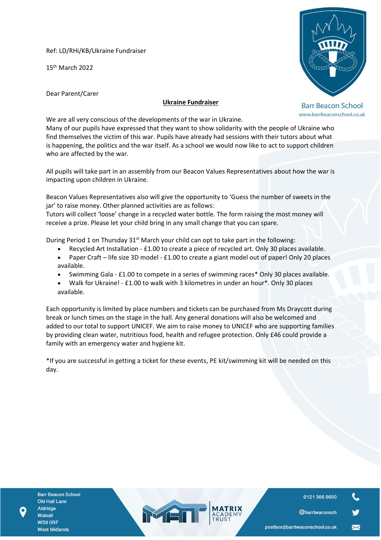Ref: LD/RHi/KB/Ukraine Fundraiser

15th March 2022



Dear Parent/Carer

# **Ukraine Fundraiser**

**Barr Beacon School** www.barrbeaconschool.co.uk

We are all very conscious of the developments of the war in Ukraine.

Many of our pupils have expressed that they want to show solidarity with the people of Ukraine who find themselves the victim of this war. Pupils have already had sessions with their tutors about what is happening, the politics and the war itself. As a school we would now like to act to support children who are affected by the war.

All pupils will take part in an assembly from our Beacon Values Representatives about how the war is impacting upon children in Ukraine.

Beacon Values Representatives also will give the opportunity to 'Guess the number of sweets in the jar' to raise money. Other planned activities are as follows:

Tutors will collect 'loose' change in a recycled water bottle. The form raising the most money will receive a prize. Please let your child bring in any small change that you can spare.

During Period 1 on Thursday  $31<sup>st</sup>$  March your child can opt to take part in the following:

- Recycled Art Installation £1.00 to create a piece of recycled art. Only 30 places available.
- Paper Craft life size 3D model £1.00 to create a giant model out of paper! Only 20 places available.
- Swimming Gala £1.00 to compete in a series of swimming races\* Only 30 places available.
- Walk for Ukraine! £1.00 to walk with 3 kilometres in under an hour\*. Only 30 places available.

Each opportunity is limited by place numbers and tickets can be purchased from Ms Draycott during break or lunch times on the stage in the hall. Any general donations will also be welcomed and added to our total to support UNICEF. We aim to raise money to UNICEF who are supporting families by providing clean water, nutritious food, health and refugee protection. Only £46 could provide a family with an emergency water and hygiene kit.

\*If you are successful in getting a ticket for these events, PE kit/swimming kit will be needed on this day.

MED

**Barr Beacon School Old Hall Lane** Aldridge Walsall WS9 ORF **West Midlands** 

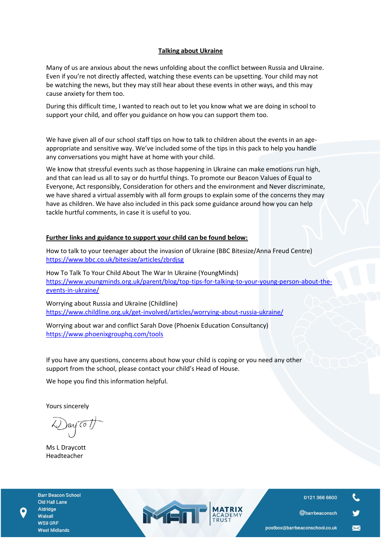## **Talking about Ukraine**

Many of us are anxious about the news unfolding about the conflict between Russia and Ukraine. Even if you're not directly affected, watching these events can be upsetting. Your child may not be watching the news, but they may still hear about these events in other ways, and this may cause anxiety for them too.

During this difficult time, I wanted to reach out to let you know what we are doing in school to support your child, and offer you guidance on how you can support them too.

We have given all of our school staff tips on how to talk to children about the events in an ageappropriate and sensitive way. We've included some of the tips in this pack to help you handle any conversations you might have at home with your child.

We know that stressful events such as those happening in Ukraine can make emotions run high, and that can lead us all to say or do hurtful things. To promote our Beacon Values of Equal to Everyone, Act responsibly, Consideration for others and the environment and Never discriminate, we have shared a virtual assembly with all form groups to explain some of the concerns they may have as children. We have also included in this pack some guidance around how you can help tackle hurtful comments, in case it is useful to you.

# **Further links and guidance to support your child can be found below:**

How to talk to your teenager about the invasion of Ukraine (BBC Bitesize/Anna Freud Centre) [https://www.bbc.co.uk/bitesize/articles/zbrdjsg](https://cas5-0-urlprotect.trendmicro.com/wis/clicktime/v1/query?url=https%3a%2f%2femail.kjbm.safeguardinginschools.co.uk%2fc%2feJyFkLtuwzAMRb%5fGXooYih5%2dDBpatAU69wMMSqIdJbZliHKD5OurtB66FSDAS%5fBSOiTO4Kc%2d3VbUbw%5f5EgM4C5RK%5fOl4p%5flRtq2UTInypAfGQXWdVa0amBQSs%2dgcGCMbGASvS%5fIJ96lGHVmreDnpU0orFeK54O85rtdrZYytbKi2S65NHiF%5fxywhJm8npCzvJrozjeWMRDBiT7g4jL0LmWvRl7OZK4IBxw2i88voF7KnECb6fXbHdzj5L4y3B5Hq2qZlHeua0mvOOGeCNaw%2dKskq26icQFjBXe1cXUj27w9RZ7DtAUXZbiBGg2DD7tpNSX%5fm7Z4%2dXgsu%5fpwE1rVfYEZ9gTMYf6AUIg4xLIkOawxus8mHpXTaSdUZ9g3lJI0D&umid=d44c88f7-507a-44e8-8e41-8f3937d5ef79&auth=67019955b200090e7d7f1e641e5fd873be3a50b4-14805097a7800fdd216f781c9b64ba5ab4224fd2)

How To Talk To Your Child About The War In Ukraine (YoungMinds) [https://www.youngminds.org.uk/parent/blog/top-tips-for-talking-to-your-young-person-about-the](https://cas5-0-urlprotect.trendmicro.com/wis/clicktime/v1/query?url=https%3a%2f%2femail.kjbm.safeguardinginschools.co.uk%2fc%2feJyFUMtuhDAM%5fJrlUgVlA%2dFxyKFVW6nnfgAyxEAWiKMk7Gr%5fvqHi0FslS7bi8WRmcAOzdvHpUH0c45sn0AOEmOHvxmglrmXTlCWXRTYrjVVTYlviKOq2ansJzSjHYaw4iKYWmAUT8byq5ZU3UmSrmmN04VK8XsRnqsfjkT9pt9NmrA45%2dSnfl%5fTuwKONaehXmlKL5Fg0LrCRPIuwLsZOLBJLt579EjCHPpBl0NMeWZyR4T1RBGYs2xcPxmLiyTYMASbsAlqNvtOUrFm13PotDzDitIPXidvYMMxEa8gHSorOBDSu5o7%2deZiSbVM3vOVtnRkluBC84DWvrrLk%2dVDL1KAYCqErratLyf%5f9waskbD9EhQTvwfseYaATdYKi%2dk6Zvny9X0TxJ1VwrrOwoVrgBr1hIZLH0dNh33nS%2dxAN2UwrXcq25z9tNabG&umid=d44c88f7-507a-44e8-8e41-8f3937d5ef79&auth=67019955b200090e7d7f1e641e5fd873be3a50b4-8c81ed114fbd200b02222ecada0f71efc23deee8)[events-in-ukraine/](https://cas5-0-urlprotect.trendmicro.com/wis/clicktime/v1/query?url=https%3a%2f%2femail.kjbm.safeguardinginschools.co.uk%2fc%2feJyFUMtuhDAM%5fJrlUgVlA%2dFxyKFVW6nnfgAyxEAWiKMk7Gr%5fvqHi0FslS7bi8WRmcAOzdvHpUH0c45sn0AOEmOHvxmglrmXTlCWXRTYrjVVTYlviKOq2ansJzSjHYaw4iKYWmAUT8byq5ZU3UmSrmmN04VK8XsRnqsfjkT9pt9NmrA45%2dSnfl%5fTuwKONaehXmlKL5Fg0LrCRPIuwLsZOLBJLt579EjCHPpBl0NMeWZyR4T1RBGYs2xcPxmLiyTYMASbsAlqNvtOUrFm13PotDzDitIPXidvYMMxEa8gHSorOBDSu5o7%2deZiSbVM3vOVtnRkluBC84DWvrrLk%2dVDL1KAYCqErratLyf%5f9waskbD9EhQTvwfseYaATdYKi%2dk6Zvny9X0TxJ1VwrrOwoVrgBr1hIZLH0dNh33nS%2dxAN2UwrXcq25z9tNabG&umid=d44c88f7-507a-44e8-8e41-8f3937d5ef79&auth=67019955b200090e7d7f1e641e5fd873be3a50b4-8c81ed114fbd200b02222ecada0f71efc23deee8)

Worrying about Russia and Ukraine (Childline) [https://www.childline.org.uk/get-involved/articles/worrying-about-russia-ukraine/](https://cas5-0-urlprotect.trendmicro.com/wis/clicktime/v1/query?url=https%3a%2f%2femail.kjbm.safeguardinginschools.co.uk%2fc%2feJyFUMtuhDAM%5fBq4VKAQEgiHHFq1lXruByCTGMgCCUrCrvbvGyoOvVWy5NeMPTZuYNY%2dPneUH2f45h1oBSHm%2dNsxWtKKCcEY4XU%2dSzFWqmWC81awhmsmgNTDKCoy1hoVHfNgIl6slldEcJqvco5xD1n9mtHPZI%5fHo1SzWfVqLJbOT%2dWxpPKEsTD27tY76pSCj0atGE6C8%5f5p7FTA4I5Y%2dCMEA8WxeEgDUj%5ffMASYsA9oNfpeu6TdyuU2bGWAEacDvE58Y4OanVtDqVzaeZ2ocTV39M9TNe9EK0hHujY3khJKSU1a0lSckVK1PDmoVU11o3WTMfLvBi%2dTsOMUFRJ8AO8HBOUu1AWK8js97eXrPaP1n7fBvvcWNpQL3GAwRYjO4%2didjaHYvdOHisbZXEvNeDeQHzvUmsY&umid=d44c88f7-507a-44e8-8e41-8f3937d5ef79&auth=67019955b200090e7d7f1e641e5fd873be3a50b4-ee38b870d88fcd478aaead141ec988e4b976b8fc)

Worrying about war and conflict Sarah Dove (Phoenix Education Consultancy) [https://www.phoenixgrouphq.com/tools](https://cas5-0-urlprotect.trendmicro.com/wis/clicktime/v1/query?url=https%3a%2f%2femail.kjbm.safeguardinginschools.co.uk%2fc%2feJyFkM1uhDAMhJ8GLtWikJ8FDjm0aiv13AdAJvZCdiGhSei2b99QceitkiVbmhn509ACdu7T90r6ZT%2dfggc0EFNJv4pFzWvZtlIyJcpJKwApgCEyMq1oGO%2dolrzuRKuUwOZSRpvoSDWqZq3i5aynlNZYiMeCv%2da53%2d%5fVOnly9msMflunj8r4JQvJ%2dzmWC8UII%5fWRHFLo0WcQp2%5fXYakiXGjcIKB1o3XRTHsgh6vtdvAizfaTwveOoLq2aVnHuqa0mjPOmWANO9dKsso0Ki8QRnA8I54Lyf79EHQG23aomO0DhDAQGH%2d4DlPS77mBh7fngos%5fHcC69g4W0je4wmBPMflAl%2dBdiqc1eNxMst6VqFGqbmA%5fPoCIRg&umid=d44c88f7-507a-44e8-8e41-8f3937d5ef79&auth=67019955b200090e7d7f1e641e5fd873be3a50b4-61c5cf982a163520a3cce6a031d6799626f80a39)

If you have any questions, concerns about how your child is coping or you need any other support from the school, please contact your child's Head of House.

MEN

We hope you find this information helpful.

Yours sincerely

ay To

Ms L Draycott Headteacher

**Barr Beacon School** Old Hall Lane Aldridge Walsall WS9 ORF **West Midlands** 

0121 366 6600



 $\asymp$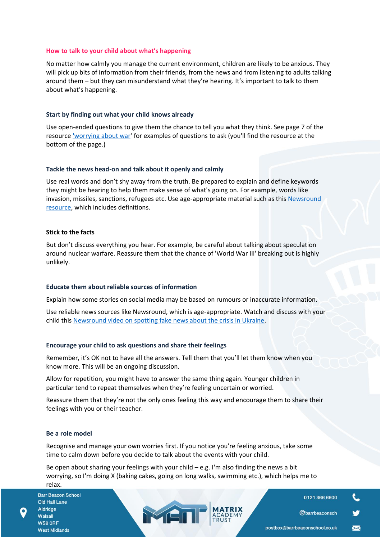#### **How to talk to your child about what's happening**

No matter how calmly you manage the current environment, children are likely to be anxious. They will pick up bits of information from their friends, from the news and from listening to adults talking around them – but they can misunderstand what they're hearing. It's important to talk to them about what's happening.

### **Start by finding out what your child knows already**

Use open-ended questions to give them the chance to tell you what they think. See page 7 of the resource ['worrying about war'](https://www.phoenixgrouphq.com/tools) for examples of questions to ask (you'll find the resource at the bottom of the page.)

#### **Tackle the news head-on and talk about it openly and calmly**

Use real words and don't shy away from the truth. Be prepared to explain and define keywords they might be hearing to help them make sense of what's going on. For example, words like invasion, missiles, sanctions, refugees etc. Use age-appropriate material such as this Newsround [resource,](https://www.bbc.co.uk/newsround/60536983) which includes definitions.

### **Stick to the facts**

But don't discuss everything you hear. For example, be careful about talking about speculation around nuclear warfare. Reassure them that the chance of 'World War III' breaking out is highly unlikely.

## **Educate them about reliable sources of information**

Explain how some stories on social media may be based on rumours or inaccurate information.

Use reliable news sources like Newsround, which is age-appropriate. Watch and discuss with your child thi[s Newsround video on spotting fake news about the crisis in Ukraine.](https://www.bbc.co.uk/newsround/60568631)

#### **Encourage your child to ask questions and share their feelings**

Remember, it's OK not to have all the answers. Tell them that you'll let them know when you know more. This will be an ongoing discussion.

Allow for repetition, you might have to answer the same thing again. Younger children in particular tend to repeat themselves when they're feeling uncertain or worried.

Reassure them that they're not the only ones feeling this way and encourage them to share their feelings with you or their teacher.

#### **Be a role model**

Recognise and manage your own worries first. If you notice you're feeling anxious, take some time to calm down before you decide to talk about the events with your child.

Be open about sharing your feelings with your child – e.g. I'm also finding the news a bit worrying, so I'm doing X (baking cakes, going on long walks, swimming etc.), which helps me to relax.

MEN

**Barr Beacon School** Old Hall Lane Aldridge Walsall WS9 ORF **West Midlands** 

01213666600

@barrbeaconsch

 $\blacksquare$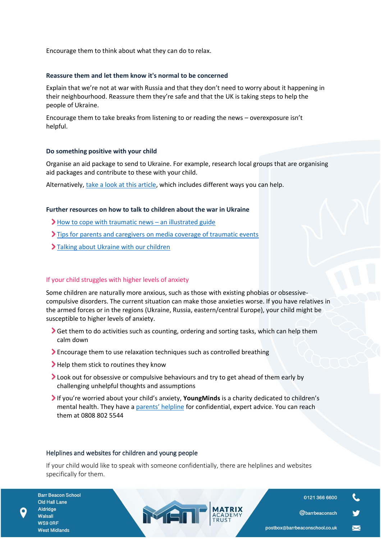Encourage them to think about what they can do to relax.

### **Reassure them and let them know it's normal to be concerned**

Explain that we're not at war with Russia and that they don't need to worry about it happening in their neighbourhood. Reassure them they're safe and that the UK is taking steps to help the people of Ukraine.

Encourage them to take breaks from listening to or reading the news – overexposure isn't helpful.

### **Do something positive with your child**

Organise an aid package to send to Ukraine. For example, research local groups that are organising aid packages and contribute to these with your child.

Alternatively, [take a look at this article,](https://www.globalcitizen.org/en/content/ways-to-help-ukraine-conflict/) which includes different ways you can help.

## **Further resources on how to talk to children about the war in Ukraine**

- $\blacktriangleright$  [How to cope with traumatic news](https://www.abc.net.au/news/2014-12-23/illustrated-guide-coping-traumatic-news/5985104?nw=0&r=HtmlFragment)  an illustrated guide
- Ips for parents and caregivers on media coverage of traumatic events
- > [Talking about Ukraine with our children](https://draliza.bulletin.com/talking-about-ukraine-with-our-children/)

## If your child struggles with higher levels of anxiety

Some children are naturally more anxious, such as those with existing phobias or obsessivecompulsive disorders. The current situation can make those anxieties worse. If you have relatives in the armed forces or in the regions (Ukraine, Russia, eastern/central Europe), your child might be susceptible to higher levels of anxiety.

- Get them to do activities such as counting, ordering and sorting tasks, which can help them calm down
- Encourage them to use relaxation techniques such as controlled breathing
- Help them stick to routines they know
- I Look out for obsessive or compulsive behaviours and try to get ahead of them early by challenging unhelpful thoughts and assumptions
- If you're worried about your child's anxiety, **YoungMinds** is a charity dedicated to children's mental health. They have a [parents' helpline](https://youngminds.org.uk/find-help/for-parents/parents-helpline/) for confidential, expert advice. You can reach them at 0808 802 5544

#### Helplines and websites for children and young people

If your child would like to speak with someone confidentially, there are helplines and websites specifically for them.

MEN

**Barr Beacon School** Old Hall Lane Aldridge Walsall WS9 ORF **West Midlands** 

0121 366 6600